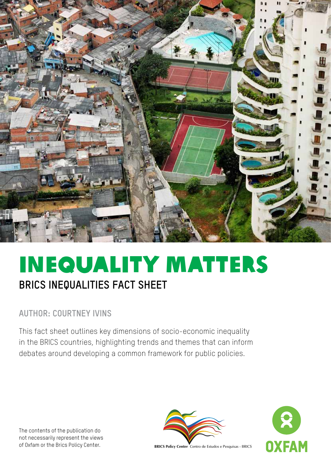

# InequalitY Matters **BRICS inequalities fact sheet**

# **Author: courtney Ivins**

This fact sheet outlines key dimensions of socio-economic inequality in the BRICS countries, highlighting trends and themes that can inform debates around developing a common framework for public policies.

The contents of the publication do not necessarily represent the views of Oxfam or the Brics Policy Center.





**BRICS Policy Center** Centro de Estudos e Pesquisas - BRICS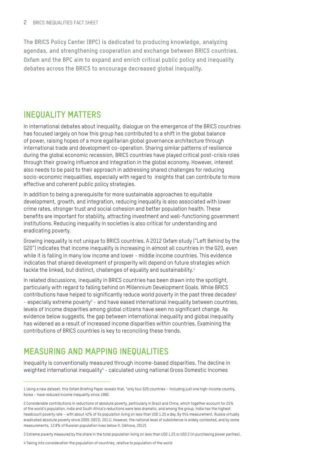**The BRICS Policy Center (BPC) is dedicated to producing knowledge, analyzing agendas, and strengthening cooperation and exchange between BRICS countries. Oxfam and the BPC aim to expand and enrich critical public policy and inequality debates across the BRICS to encourage decreased global inequality.**

### **Inequality Matters**

In international debates about inequality, dialogue on the emergence of the BRICS countries has focused largely on how this group has contributed to a shift in the global balance of power, raising hopes of a more egalitarian global governance architecture through international trade and development co-operation. Sharing similar patterns of resilience during the global economic recession, BRICS countries have played critical post-crisis roles through their growing influence and integration in the global economy. However, interest also needs to be paid to their approach in addressing shared challenges for reducing socio-economic inequalities, especially with regard to insights that can contribute to more effective and coherent public policy strategies.

In addition to being a prerequisite for more sustainable approaches to equitable development, growth, and integration, reducing inequality is also associated with lower crime rates, stronger trust and social cohesion and better population health. These benefits are important for stability, attracting investment and well-functioning government institutions. Reducing inequality in societies is also critical for understanding and eradicating poverty.

Growing inequality is not unique to BRICS countries. A 2012 Oxfam study ("Left Behind by the G20") indicates that income inequality is increasing in almost all countries in the G20, even while it is falling in many low income and lower - middle income countries. This evidence indicates that shared development of prosperity will depend on future strategies which tackle the linked, but distinct, challenges of equality and sustainability.<sup>1</sup>

In related discussions, inequality in BRICS countries has been drawn into the spotlight, particularly with regard to falling behind on Millennium Development Goals. While BRICS contributions have helped to significantly reduce world poverty in the past three decades<sup>2</sup> - especially extreme poverty<sup>3</sup> - and have eased international inequality between countries, levels of income disparities among global citizens have seen no significant change. As evidence below suggests, the gap between international inequality and global inequality has widened as a result of increased income disparities within countries. Examining the contributions of BRICS countries is key to reconciling these trends.

# **Measuring and Mapping Inequalities**

Inequality is conventionally measured through income-based disparities. The decline in weighted international inequality<sup>4</sup> - calculated using national Gross Domestic Incomes

3 Extreme poverty measured by the share in the total population living on less than USD 1.25 or USD 2 (in purchasing power parities).

4 Taking into consideration the population of countries, relative to population of the world

<sup>1</sup> Using a new dataset, this Oxfam Briefing Paper reveals that, "only four G20 countries – including just one high-income country, Korea – have reduced income inequality since 1990.

<sup>2</sup> Considerable contributions in reductions of absolute poverty, particularly in Brazil and China, which together account for 25% of the world's population. India and South Africa's reductions were less dramatic, and among the group, India has the highest headcount poverty rate – with about 42% of its population living on less than USD 1.25 a day. By this measurement, Russia virtually eradicated absolute poverty since 2009. (OECD, 2011). However, the national level of subsistence is widely contested, and by some measurements, 12.8% of Russian population lives below it. (Ukhova, 2012).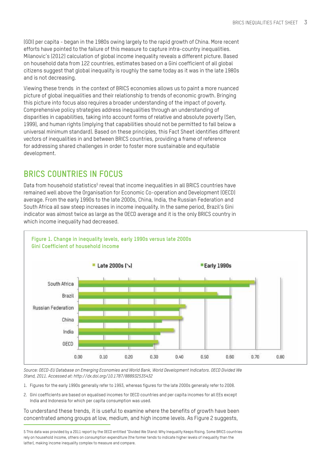(GDI) per capita - began in the 1980s owing largely to the rapid growth of China. More recent efforts have pointed to the failure of this measure to capture intra-country inequalities. Milanovic's (2012) calculation of global income inequality reveals a different picture. Based on household data from 122 countries, estimates based on a Gini coefficient of all global citizens suggest that global inequality is roughly the same today as it was in the late 1980s and is not decreasing.

Viewing these trends in the context of BRICS economies allows us to paint a more nuanced picture of global inequalities and their relationship to trends of economic growth. Bringing this picture into focus also requires a broader understanding of the impact of poverty. Comprehensive policy strategies address inequalities through an understanding of disparities in capabilities, taking into account forms of relative and absolute poverty (Sen, 1999), and human rights (implying that capabilities should not be permitted to fall below a universal minimum standard). Based on these principles, this Fact Sheet identifies different vectors of inequalities in and between BRICS countries, providing a frame of reference for addressing shared challenges in order to foster more sustainable and equitable development.

# **BRICS Countries in Focus**

Data from household statistics<sup>5</sup> reveal that income inequalities in all BRICS countries have remained well above the Organisation for Economic Co-operation and Development (OECD) average. From the early 1990s to the late 2000s, China, India, the Russian Federation and South Africa all saw steep increases in income inequality. In the same period, Brazil's Gini indicator was almost twice as large as the OECD average and it is the only BRICS country in which income inequality had decreased.



*Source: OECD-EU Database on Emerging Economies and World Bank, World Development Indicators. OECD Divided We Stand, 2011. Accessed at: http://dx.doi.org/10.1787/888932535432*

- 1. Figures for the early 1990s generally refer to 1993, whereas figures for the late 2000s generally refer to 2008.
- 2. Gini coefficients are based on equalised incomes for OECD countries and per capita incomes for all EEs except India and Indonesia for which per capita consumption was used.

#### To understand these trends, it is useful to examine where the benefits of growth have been concentrated among groups at low, medium, and high income levels. As Figure 2 suggests,

<sup>5</sup> This data was provided by a 2011 report by the OECD entitled "Divided We Stand: Why Inequality Keeps Rising. Some BRICS countries rely on household income, others on consumption expenditure (the former tends to indicate higher levels of inequality than the latter), making income inequality complex to measure and compare.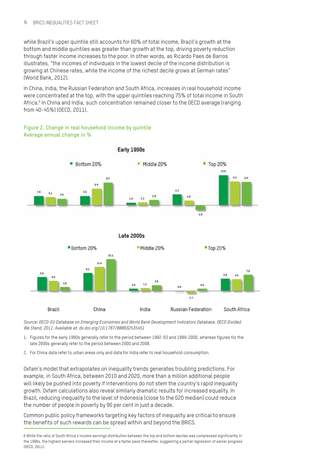while Brazil's upper quintile still accounts for 60% of total income, Brazil's growth at the bottom and middle quintiles was greater than growth at the top, driving poverty reduction through faster income increases to the poor. In other words, as Ricardo Paes de Barros illustrates, "the incomes of individuals in the lowest decile of the income distribution is growing at Chinese rates, while the income of the richest decile grows at German rates" (World Bank, 2012).

In China, India, the Russian Federation and South Africa, increases in real household income were concentrated at the top, with the upper quintiles reaching 75% of total income in South Africa.<sup>6</sup> In China and India, such concentration remained closer to the OECD average (ranging from 40-45%) (OECD, 2011).

#### **Figure 2. Change in real household income by quintile Average annual change in %**



*Source: OECD-EU Database on Emerging Economies and World Bank Development Indicators Database. OECD Divided We Stand, 2011. Available at: dx.doi.org/10.1787/888932535451* 

1. Figures for the early 1990s generally refer to the period between 1992-93 and 1999-2000, whereas figures for the late 2000s generally refer to the period between 2000 and 2008.

2. For China data refer to urban areas only and data for India refer to real household consumption.

Oxfam's model that extrapolates on inequality trends generates troubling predictions. For example, in South Africa, between 2010 and 2020, more than a million additional people will likely be pushed into poverty if interventions do not stem the country's rapid inequality growth. Oxfam calculations also reveal similarly dramatic results for increased equality. In Brazil, reducing inequality to the level of Indonesia (close to the G20 median) could reduce the number of people in poverty by 90 per cent in just a decade.

Common public policy frameworks targeting key factors of inequality are critical to ensure the benefits of such rewards can be spread within and beyond the BRICS.

<sup>6</sup> While the ratio of South Africa's income earnings distribution between the top and bottom deciles was compressed significantly in the 1990s, the highest earners increased their income at a faster pace thereafter, suggesting a partial regression of earlier progress (OECD, 2011).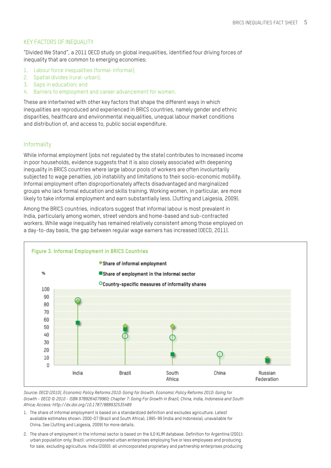### KEY FACTORS OF INEQUALITY

"Divided We Stand", a 2011 OECD study on global inequalities, identified four driving forces of inequality that are common to emerging economies:

- 1. Labour force inequalities (formal-informal);
- 2. Spatial divides (rural-urban);
- 3. Gaps in education; and
- 4. Barriers to employment and career advancement for women.

These are intertwined with other key factors that shape the different ways in which inequalities are reproduced and experienced in BRICS countries, namely gender and ethnic disparities, healthcare and environmental inequalities, unequal labour market conditions and distribution of, and access to, public social expenditure.

### **Informality**

While informal employment (jobs not regulated by the state) contributes to increased income in poor households, evidence suggests that it is also closely associated with deepening inequality in BRICS countries where large labour pools of workers are often involuntarily subjected to wage penalties, job instability and limitations to their socio-economic mobility. Informal employment often disproportionately affects disadvantaged and marginalized groups who lack formal education and skills training. Working women, in particular, are more likely to take informal employment and earn substantially less. (Jutting and Laigesia, 2009).

Among the BRICS countries, indicators suggest that informal labour is most prevalent in India, particularly among women, street vendors and home-based and sub-contracted workers. While wage inequality has remained relatively consistent among those employed on a day-to-day basis, the gap between regular wage earners has increased (OECD, 2011).



*Source: OECD (2010), Economic Policy Reforms 2010: Going for Growth. Economic Policy Reforms 2010: Going for Growth - OECD © 2010 - ISBN 9789264079960; Chapter 7: Going For Growth in Brazil, China, India, Indonesia and South Africa; Access: http://dx.doi.org/10.1787/888932535489*

- 1. The share of informal employment is based on a standardized definition and excludes agriculture. Latest available estimates shown: 2000-07 (Brazil and South Africa); 1995-99 (India and Indonesia); unavailable for China. See (Jutting and Laigesia, 2009) for more details.
- 2. The share of employment in the informal sector is based on the ILO KLIM database. Definition for Argentina (2001): urban population only; Brazil: unincorporated urban enterprises employing five or less employees and producing for sale, excluding agriculture. India (2000): all unincorporated proprietary and partnership enterprises producing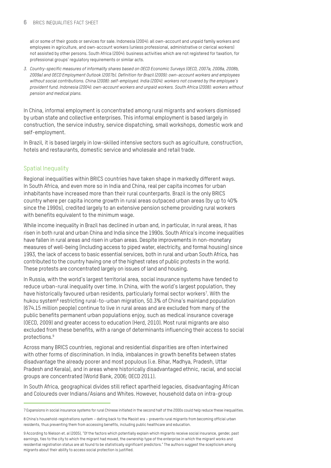#### **6** BRICS INFOUALITIES FACT SHEET

all or some of their goods or services for sale. Indonesia (2004): all own-account and unpaid family workers and employees in agriculture, and own-account workers (unless professional, administrative or clerical workers) not assisted by other persons. South Africa (2004): business activities which are not registered for taxation, for professional groups' regulatory requirements or similar acts.

*3. Country-specific measures of informality shares based on OECD Economic Surveys (OECD, 2007a, 2008a, 2008b, 2009a) and OECD Employment Outlook (2007b). Definition for Brazil (2009): own-account workers and employees without social contributions. China (2008): self-employed. India (2004): workers not covered by the employee's provident fund. Indonesia (2004): own-account workers and unpaid workers. South Africa (2008): workers without pension and medical plans.*

In China, informal employment is concentrated among rural migrants and workers dismissed by urban state and collective enterprises. This informal employment is based largely in construction, the service industry, service dispatching, small workshops, domestic work and self-employment.

In Brazil, it is based largely in low-skilled intensive sectors such as agriculture, construction, hotels and restaurants, domestic service and wholesale and retail trade.

### Spatial Inequality

Regional inequalities within BRICS countries have taken shape in markedly different ways. In South Africa, and even more so in India and China, real per capita incomes for urban inhabitants have increased more than their rural counterparts. Brazil is the only BRICS country where per capita income growth in rural areas outpaced urban areas (by up to 40% since the 1990s), credited largely to an extensive pension scheme providing rural workers with benefits equivalent to the minimum wage.

While income inequality in Brazil has declined in urban and, in particular, in rural areas, it has risen in both rural and urban China and India since the 1990s. South Africa's income inequalities have fallen in rural areas and risen in urban areas. Despite improvements in non-monetary measures of well-being (including access to piped water, electricity, and formal housing) since 1993, the lack of access to basic essential services, both in rural and urban South Africa, has contributed to the country having one of the highest rates of public protests in the world. These protests are concentrated largely on issues of land and housing.

In Russia, with the world's largest territorial area, social insurance systems have tended to reduce urban-rural inequality over time. In China, with the world's largest population, they have historically favoured urban residents, particularly formal sector workers<sup>7</sup>. With the hukou system<sup>8</sup> restricting rural-to-urban migration, 50.3% of China's mainland population (674.15 million people) continue to live in rural areas and are excluded from many of the public benefits permanent urban populations enjoy, such as medical insurance coverage (OECD, 2009) and greater access to education (Herd, 2010). Most rural migrants are also excluded from these benefits, with a range of determinants influencing their access to social protections.9

Across many BRICS countries, regional and residential disparities are often intertwined with other forms of discrimination. In India, imbalances in growth benefits between states disadvantage the already poorer and most populous (i.e. Bihar, Madhya, Pradesh, Uttar Pradesh and Kerala), and in areas where historically disadvantaged ethnic, racial, and social groups are concentrated (World Bank, 2006; OECD 2011).

In South Africa, geographical divides still reflect apartheid legacies, disadvantaging African and Coloureds over Indians/Asians and Whites. However, household data on intra-group

<sup>7</sup> Expansions in social insurance systems for rural Chinese initiated in the second half of the 2000s could help reduce these inequalities.

<sup>8</sup> China's household-registrations system – dating back to the Maoist era – prevents rural migrants from becoming official urban residents, thus preventing them from accessing benefits, including public healthcare and education.

<sup>9</sup> According to Nielson et. al (2005), "Of the factors which potentially explain which migrants receive social insurance, gender, past earnings, ties to the city to which the migrant had moved, the ownership type of the enterprise in which the migrant works and residential registration status are all found to be statistically significant predictors." The authors suggest the scepticism among migrants about their ability to access social protection is justified.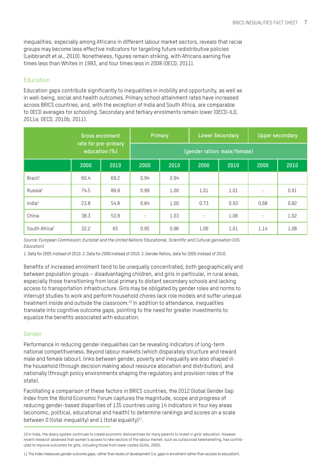inequalities, especially among Africans in different labour market sectors, reveals that racial groups may become less effective indicators for targeting future redistributive policies (Leibbrandt et al., 2010). Nonetheless, figures remain striking, with Africans earning five times less than Whites in 1993, and four times less in 2008 (OECD, 2011).

### Education

Education gaps contribute significantly to inequalities in mobility and opportunity, as well as in well-being, social and health outcomes. Primary school attainment rates have increased across BRICS countries, and, with the exception of India and South Africa, are comparable to OECD averages for schooling. Secondary and tertiary enrolments remain lower (OECD-ILO, 2011a; OECD, 2010b, 2011).

|                           | Gross enrolment<br>rate for pre-primary<br>education (%) |      | <b>Primary</b>               |      | <b>Lower Secondary</b> |      | <b>Upper secondary</b> |      |
|---------------------------|----------------------------------------------------------|------|------------------------------|------|------------------------|------|------------------------|------|
|                           |                                                          |      | (gender ration: male/female) |      |                        |      |                        |      |
|                           | 2000                                                     | 2010 | 2000                         | 2010 | 2000                   | 2010 | 2000                   | 2010 |
| Brazil <sup>1</sup>       | 60.4                                                     | 69.2 | 0.94                         | 0.94 |                        |      |                        |      |
| Russia <sup>2</sup>       | 74.5                                                     | 89.9 | 0.99                         | 1.00 | 1.01                   | 1.01 | ÷                      | 0.91 |
| India <sup>3</sup>        | 23.8                                                     | 54.8 | 0.84                         | 1.00 | 0.73                   | 0.93 | 0.68                   | 0.82 |
| China                     | 38.3                                                     | 53.9 | ÷                            | 1.03 | ÷                      | 1.06 | ÷                      | 1.02 |
| South Africa <sup>2</sup> | 32.2                                                     | 65   | 0.95                         | 0.96 | 1.06                   | 1.01 | 1.14                   | 1.08 |

*Source: European Commission: Eurostat and the United Nations Educational, Scientific and Cultural ganisation (UIS: Education)*

1. Data for 2005 instead of 2010. 2. Data for 2009 instead of 2010. 3. Gender Ratios, data for 2005 instead of 2010.

Benefits of increased enrolment tend to be unequally concentrated, both geographically and between population groups – disadvantaging children, and girls in particular, in rural areas, especially those transitioning from local primary to distant secondary schools and lacking access to transportation infrastructure. Girls may be obligated by gender roles and norms to interrupt studies to work and perform household chores lack role models and suffer unequal treatment inside and outside the classroom.<sup>10</sup> In addition to attendance, inequalities translate into cognitive outcome gaps, pointing to the need for greater investments to equalize the benefits associated with education.

### Gender

Performance in reducing gender inequalities can be revealing indicators of long-term national competitiveness. Beyond labour markets (which disparately structure and reward male and female labour), links between gender, poverty and inequality are also shaped in the household (through decision making about resource allocation and distribution), and nationally (through policy environments shaping the regulatory and provision roles of the state).

Facilitating a comparison of these factors in BRICS countries, the 2012 Global Gender Gap Index from the World Economic Forum captures the magnitude, scope and progress of reducing gender-based disparities of 135 countries using 14 indicators in four key areas (economic, political, educational and health) to determine rankings and scores on a scale between 0 (total inequality) and 1 (total equality) $11$ .

<sup>10</sup> In India, the dowry system continues to create economic disincentives for many parents to invest in girls' education. However recent research observed that women's access to new sectors of the labour market, such as outsourced telemarketing, has contributed to improve outcomes for girls, including those from lower castes (Duflo, 2005).

<sup>11</sup> The index measures gender outcome gaps, rather than levels of development (i.e. gaps in enrolment rather than access to education).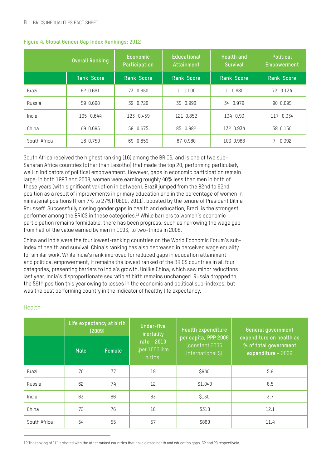|              | <b>Overall Ranking</b> | Economic<br>Participation | <b>Educational</b><br>Attainment | <b>Health and</b><br><b>Survival</b> | <b>Political</b><br>Empowerment |
|--------------|------------------------|---------------------------|----------------------------------|--------------------------------------|---------------------------------|
|              | <b>Rank Score</b>      | <b>Rank Score</b>         | <b>Rank Score</b>                | <b>Rank Score</b>                    | <b>Rank Score</b>               |
| Brazil       | 62 0.691               | 0.650<br>73               | 1.000                            | 0.980                                | 72 0.134                        |
| Russia       | 59 0.698               | 39 0.720                  | 35 0.998                         | 34 0.979                             | 90 0.095                        |
| India        | 105 0.644              | 123 0.459                 | 121 0.852                        | 134 0.93                             | 117 0.334                       |
| China        | 69 0.685               | 58 0.675                  | 85 0.982                         | 132 0.934                            | 58 0.150                        |
| South Africa | 16 0.750               | 0.659<br>69               | 87 0.980                         | 103 0.968                            | 0.392                           |

#### **Figure 4. Global Gender Gap Index Rankings: 2012**

South Africa received the highest ranking (16) among the BRICS, and is one of two sub-Saharan Africa countries (other than Lesotho) that made the top 20, performing particularly well in indicators of political empowerment. However, gaps in economic participation remain large; in both 1993 and 2008, women were earning roughly 40% less than men in both of these years (with significant variation in between). Brazil jumped from the 82nd to 62nd position as a result of improvements in primary education and in the percentage of women in ministerial positions (from 7% to 27%) (OECD, 2011), boosted by the tenure of President Dilma Rousseff. Successfully closing gender gaps in health and education, Brazil is the strongest performer among the BRICS in these categories.12 While barriers to women's economic participation remains formidable, there has been progress, such as narrowing the wage gap from half of the value earned by men in 1993, to two-thirds in 2008.

China and India were the four lowest-ranking countries on the World Economic Forum's subindex of health and survival. China's ranking has also decreased in perceived wage equality for similar work. While India's rank improved for reduced gaps in education attainment and political empowerment, it remains the lowest ranked of the BRICS countries in all four categories, presenting barriers to India's growth. Unlike China, which saw minor reductions last year, India's disproportionate sex ratio at birth remains unchanged. Russia dropped to the 59th position this year owing to losses in the economic and political sub-indexes, but was the best performing country in the indicator of healthy life expectancy.

#### Health

|              | Life expectancy at birth<br>(2009) |        | Under-five<br>mortality                  | Health expenditure                                           | General government                                                      |  |
|--------------|------------------------------------|--------|------------------------------------------|--------------------------------------------------------------|-------------------------------------------------------------------------|--|
|              | <b>Male</b>                        | Female | rate - 2010<br>(per 1000 live<br>births) | per capita, PPP 2009<br>(constant 2005)<br>international \$) | expenditure on health as<br>% of total government<br>expenditure - 2009 |  |
| Brazil       | 70                                 | 77     | 19                                       | S940                                                         | 5.9                                                                     |  |
| Russia       | 62                                 | 74     | 12                                       | \$1,040                                                      | 8.5                                                                     |  |
| India        | 63                                 | 66     | 63                                       | <b>S130</b>                                                  | 3.7                                                                     |  |
| China        | 72                                 | 76     | 18                                       | <b>\$310</b>                                                 | 12.1                                                                    |  |
| South Africa | 54                                 | 55     | 57                                       | <b>\$860</b>                                                 | 11.4                                                                    |  |

12 The ranking of "1" is shared with the other ranked countries that have closed heath and education gaps, 32 and 20 respectively.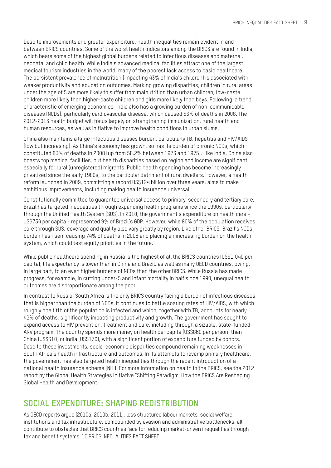Despite improvements and greater expenditure, health inequalities remain evident in and between BRICS countries. Some of the worst health indicators among the BRICS are found in India, which bears some of the highest global burdens related to infectious diseases and maternal, neonatal and child health. While India's advanced medical facilities attract one of the largest medical tourism industries in the world, many of the poorest lack access to basic healthcare. The persistent prevalence of malnutrition (impacting 43% of India's children) is associated with weaker productivity and education outcomes. Marking growing disparities, children in rural areas under the age of 5 are more likely to suffer from malnutrition than urban children, low-caste children more likely than higher-caste children and girls more likely than boys. Following a trend characteristic of emerging economies, India also has a growing burden of non-communicable diseases (NCDs), particularly cardiovascular disease, which caused 53% of deaths in 2008. The 2012-2013 health budget will focus largely on strengthening immunization, rural health and human resources, as well as initiative to improve health conditions in urban slums.

China also maintains a large infectious diseases burden, particularly TB, hepatitis and HIV/AIDS (low but increasing). As China's economy has grown, so has its burden of chronic NCDs, which constituted 83% of deaths in 2008 (up from 58.2% between 1973 and 1975). Like India, China also boasts top medical facilities, but health disparities based on region and income are significant, especially for rural (unregistered) migrants. Public health spending has become increasingly privatized since the early 1980s, to the particular detriment of rural dwellers. However, a health reform launched in 2009, committing a record US\$124 billion over three years, aims to make ambitious improvements, including making health insurance universal.

Constitutionally committed to guarantee universal access to primary, secondary and tertiary care, Brazil has targeted inequalities through expanding health programs since the 1990s, particularly through the Unified Health System (SUS). In 2010, the government's expenditure on health care - US\$734 per capita - represented 9% of Brazil's GDP. However, while 80% of the population receives care through SUS, coverage and quality also vary greatly by region. Like other BRICS, Brazil's NCDs burden has risen, causing 74% of deaths in 2008 and placing an increasing burden on the health system, which could test equity priorities in the future.

While public healthcare spending in Russia is the highest of all the BRICS countries (US\$1,040 per capita), life expectancy is lower than in China and Brazil, as well as many OECD countries, owing, in large part, to an even higher burdens of NCDs than the other BRICS. While Russia has made progress, for example, in cutting under-5 and infant mortality in half since 1990, unequal health outcomes are disproportionate among the poor.

In contrast to Russia, South Africa is the only BRICS country facing a burden of infectious diseases that is higher than the burden of NCDs. It continues to battle soaring rates of HIV/AIDS, with which roughly one fifth of the population is infected and which, together with TB, accounts for nearly 42% of deaths, significantly impacting productivity and growth. The government has sought to expand access to HIV prevention, treatment and care, including through a sizable, state-funded ARV program. The country spends more money on health per capita (US\$860 per person) than China (US\$310) or India (US\$130), with a significant portion of expenditure funded by donors. Despite these investments, socio-economic disparities compound remaining weaknesses in South Africa's health infrastructure and outcomes. In its attempts to revamp primary healthcare, the government has also targeted health inequalities through the recent introduction of a national health insurance scheme (NHI). For more information on health in the BRICS, see the 2012 report by the Global Health Strategies Initiative "Shifting Paradigm: How the BRICS Are Reshaping Global Health and Development.

# **SOCIAL EXPENDITURE: Shaping Redistribution**

As OECD reports argue (2010a, 2010b, 2011), less structured labour markets, social welfare institutions and tax infrastructure, compounded by evasion and administrative bottlenecks, all contribute to obstacles that BRICS countries face for reducing market-driven inequalities through tax and benefit systems. 10 BRICS INEQUALITIES FACT SHEET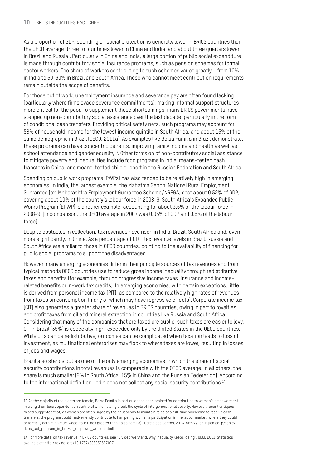As a proportion of GDP, spending on social protection is generally lower in BRICS countries than the OECD average (three to four times lower in China and India, and about three quarters lower in Brazil and Russia). Particularly in China and India, a large portion of public social expenditure is made through contributory social insurance programs, such as pension schemes for formal sector workers. The share of workers contributing to such schemes varies greatly – from 10% in India to 50-60% in Brazil and South Africa. Those who cannot meet contribution requirements remain outside the scope of benefits.

For those out of work, unemployment insurance and severance pay are often found lacking (particularly where firms evade severance commitments), making informal support structures more critical for the poor. To supplement these shortcomings, many BRICS governments have stepped up non-contributory social assistance over the last decade, particularly in the form of conditional cash transfers. Providing critical safety nets, such programs may account for 58% of household income for the lowest income quintile in South Africa, and about 15% of the same demographic in Brazil (OECD, 2011a). As examples like Bolsa Familia in Brazil demonstrate, these programs can have concentric benefits, improving family income and health as well as school attendance and gender equality<sup>13</sup>. Other forms on of non-contributory social assistance to mitigate poverty and inequalities include food programs in India, means-tested cash transfers in China, and means-tested child support in the Russian Federation and South Africa.

Spending on public work programs (PWPs) has also tended to be relatively high in emerging economies. In India, the largest example, the Mahatma Gandhi National Rural Employment Guarantee (ex-Maharashtra Employment Guarantee Scheme/NREGA) cost about 0.52% of GDP, covering about 10% of the country's labour force in 2008-9. South Africa's Expanded Public Works Program (EPWP) is another example, accounting for about 3.5% of the labour force in 2008-9. (In comparison, the OECD average in 2007 was 0.05% of GDP and 0.6% of the labour force).

Despite obstacles in collection, tax revenues have risen in India, Brazil, South Africa and, even more significantly, in China. As a percentage of GDP, tax revenue levels in Brazil, Russia and South Africa are similar to those in OECD countries, pointing to the availability of financing for public social programs to support the disadvantaged.

However, many emerging economies differ in their principle sources of tax revenues and from typical methods OECD countries use to reduce gross income inequality through redistributive taxes and benefits (for example, through progressive income taxes, insurance and incomerelated benefits or in-work tax credits). In emerging economies, with certain exceptions, little is derived from personal income tax (PIT), as compared to the relatively high rates of revenues from taxes on consumption (many of which may have regressive effects). Corporate income tax (CIT) also generates a greater share of revenues in BRICS countries, owing in part to royalties and profit taxes from oil and mineral extraction in countries like Russia and South Africa. Considering that many of the companies that are taxed are public, such taxes are easier to levy. CIT in Brazil (35%) is especially high, exceeded only by the United States in the OECD countries. While CITs can be redistributive, outcomes can be complicated when taxation leads to loss of investment, as multinational enterprises may flock to where taxes are lower, resulting in losses of jobs and wages.

Brazil also stands out as one of the only emerging economies in which the share of social security contributions in total revenues is comparable with the OECD average. In all others, the share is much smaller (2% in South Africa, 15% in China and the Russian Federation). According to the international definition, India does not collect any social security contributions.<sup>14</sup>

<sup>13</sup> As the majority of recipients are female, Bolsa Família in particular has been praised for contributing to women's empowerment (making them less dependent on partners) while helping break the cycle of intergenerational poverty. However, recent critiques raised suggested that, as women are often urged by their husbands to maintain roles of a full-time housewife to receive cash transfers, the program could inadvertently contribute to hampering women's participation in the labour market, where they could potentially earn min¬imum wage (four times greater than Bolsa Familia). (Garcia dos Santos, 2013. http://jica-ri.jica.go.jp/topic/ does\_cct\_program\_in\_bra¬zil\_empower\_women.html)

<sup>14</sup> For more data on tax revenue in BRICS countries, see "Divided We Stand: Why Inequality Keeps Rising", OECD 2011. Statistics available at: http://dx.doi.org/10.1787/888932537427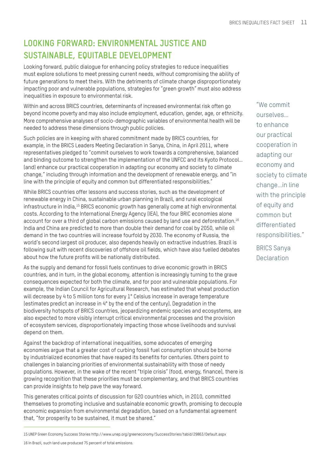# **LOOKING FORWARD: Environmental Justice and Sustainable, Equitable Development**

Looking forward, public dialogue for enhancing policy strategies to reduce inequalities must explore solutions to meet pressing current needs, without compromising the ability of future generations to meet theirs. With the detriments of climate change disproportionately impacting poor and vulnerable populations, strategies for "green growth" must also address inequalities in exposure to environmental risk.

Within and across BRICS countries, determinants of increased environmental risk often go beyond income poverty and may also include employment, education, gender, age, or ethnicity. More comprehensive analyses of socio-demographic variables of environmental health will be needed to address these dimensions through public policies.

Such policies are in keeping with shared commitment made by BRICS countries, for example, in the BRICS Leaders Meeting Declaration in Sanya, China, in April 2011, where representatives pledged to "commit ourselves to work towards a comprehensive, balanced and binding outcome to strengthen the implementation of the UNFCC and its Kyoto Protocol… (and) enhance our practical cooperation in adapting our economy and society to climate change," including through information and the development of renewable energy, and "in line with the principle of equity and common but differentiated responsibilities."

While BRICS countries offer lessons and success stories, such as the development of renewable energy in China, sustainable urban planning in Brazil, and rural ecological infrastructure in India,15 BRICS economic growth has generally come at high environmental costs. According to the International Energy Agency (IEA), the four BRIC economies alone account for over a third of global carbon emissions caused by land use and deforestation.<sup>16</sup> India and China are predicted to more than double their demand for coal by 2050, while oil demand in the two countries will increase fourfold by 2030. The economy of Russia, the world's second largest oil producer, also depends heavily on extractive industries. Brazil is following suit with recent discoveries of offshore oil fields, which have also fuelled debates about how the future profits will be nationally distributed.

As the supply and demand for fossil fuels continues to drive economic growth in BRICS countries, and in turn, in the global economy, attention is increasingly turning to the grave consequences expected for both the climate, and for poor and vulnerable populations. For example, the Indian Council for Agricultural Research, has estimated that wheat production will decrease by 4 to 5 million tons for every 1° Celsius increase in average temperature (estimates predict an increase in 4° by the end of the century). Degradation in the biodiversity hotspots of BRICS countries, jeopardizing endemic species and ecosystems, are also expected to more visibly interrupt critical environmental processes and the provision of ecosystem services, disproportionately impacting those whose livelihoods and survival depend on them.

Against the backdrop of international inequalities, some advocates of emerging economies argue that a greater cost of curbing fossil fuel consumption should be borne by industrialized economies that have reaped its benefits for centuries. Others point to challenges in balancing priorities of environmental sustainability with those of needy populations. However, in the wake of the recent "triple crisis" (food, energy, finance), there is growing recognition that these priorities must be complementary, and that BRICS countries can provide insights to help pave the way forward.

This generates critical points of discussion for G20 countries which, in 2010, committed themselves to promoting inclusive and sustainable economic growth, promising to decouple economic expansion from environmental degradation, based on a fundamental agreement that, "for prosperity to be sustained, it must be shared."

16 In Brazil, such land use produced 75 percent of total emissions.

"We commit ourselves… to enhance our practical cooperation in adapting our economy and society to climate change…in line with the principle of equity and common but differentiated responsibilities."

BRICS Sanya **Declaration** 

<sup>15</sup> UNEP Green Economy Success Stories http://www.unep.org/greeneconomy/SuccessStories/tabid/29863/Default.aspx